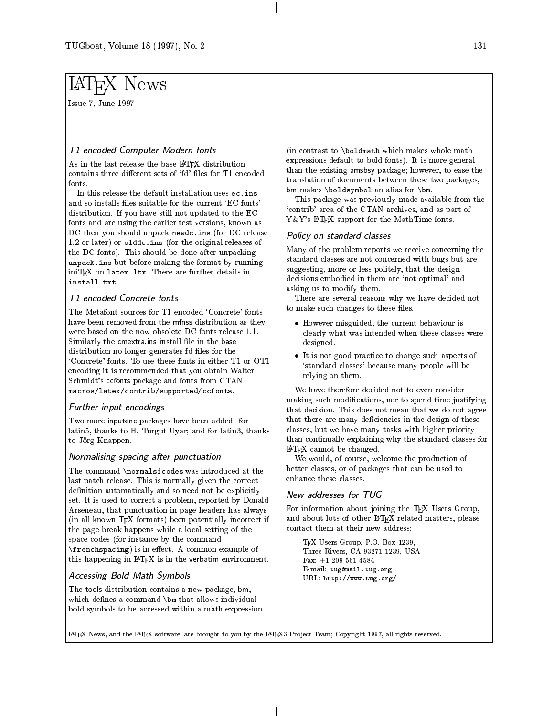Issue 7, June 1997

# T1 encoded Computer Modern fonts

As in the last release the base LATEX distribution contains three different sets of 'fd' files for T1 encoded

In this release the default installation uses ec.ins and so installs files suitable for the current 'EC fonts' distribution. If you have still not updated to the EC fonts and are using the earlier test versions, known as DC then you should unpack newdc.ins (for DC release 1.2 or later) or olddc.ins (for the original releases of the DC fonts). This should be done after unpacking unpack.ins but before making the format by running iniT<sub>F</sub>X on latex.1tx. There are further details in install.txt.

# T1 encoded Concrete fonts

The Metafont sources for T1 encoded 'Concrete' fonts have been removed from the mfnss distribution as they were based on the now obsolete DC fonts release 1.1. Similarly the cmextra.ins install file in the base distribution no longer generates fd files for the `Concrete' fonts. To use these fonts in either T1 or OT1 encoding it is recommended that you obtain Walter Schmidt's ccfonts package and fonts from CTAN macros/latex/contrib/supported/ccfonts.

#### Further input encodings

Two more inputenc packages have been added: for latin5, thanks to H. Turgut Uyar; and for latin3, thanks to Jörg Knappen.

#### Normalising spacing after punctuation

The command \normalsfcodes was introduced at the last patch release. This is normally given the correct definition automatically and so need not be explicitly  $N_{\text{ew}}$  addresses for TUG set. It is used to correct a problem, reported by Donald Arseneau, that punctuation in page headers has always (in all known TEX formats) been potentially incorrect if the page break happens while a local setting of the space codes (for instance by the command  $\frac{r_{\text{energy}}}{r_{\text{beam}}}$  is in effect. A common example of this happening in LATEX is in the verbatim environment.

# Accessing Bold Math Symbols

The tools distribution contains a new package, bm, which defines a command \bm that allows individual bold symbols to be accessed within a math expression (in contrast to \boldmath which makes whole math expressions default to bold fonts). It is more general than the existing amsbsy package; however, to ease the translation of documents between these two packages, bm makes \boldsymbol an alias for \bm.

This package was previously made available from the `contrib' area of the CTAN archives, and as part of Y&Y's IATEX support for the MathTime fonts.

#### Policy on standard classes

Many of the problem reports we receive concerning the standard classes are not concerned with bugs but are suggesting, more or less politely, that the design decisions embodied in them are 'not optimal' and asking us to modify them.

There are several reasons why we have decided not to make such changes to these files.

- However misguided, the current behaviour is clearly what was intended when these classes were designed.
- It is not good practice to change such aspects of `standard classes' because many people will be relying on them.

We have therefore decided not to even consider making such modications, nor to spend time justifying that decision. This does not mean that we do not agree that there are many deficiencies in the design of these classes, but we have many tasks with higher priority than continually explaining why the standard classes for LATEX cannot be changed.

We would, of course, welcome the production of better classes, or of packages that can be used to enhance these classes.

For information about joining the TEX Users Group, and about lots of other LATEX-related matters, please contact them at their new address:

TEX Users Group, P.O. Box 1239, Three Rivers, CA 93271-1239, USA Fax: +1 209 561 4584 E-mail: tug@mail.tug.org URL: http://www.tug.org/

LATEX News, and the LATEX software, are brought to you by the LATEX3 Project Team; Copyright 1997, all rights reserved.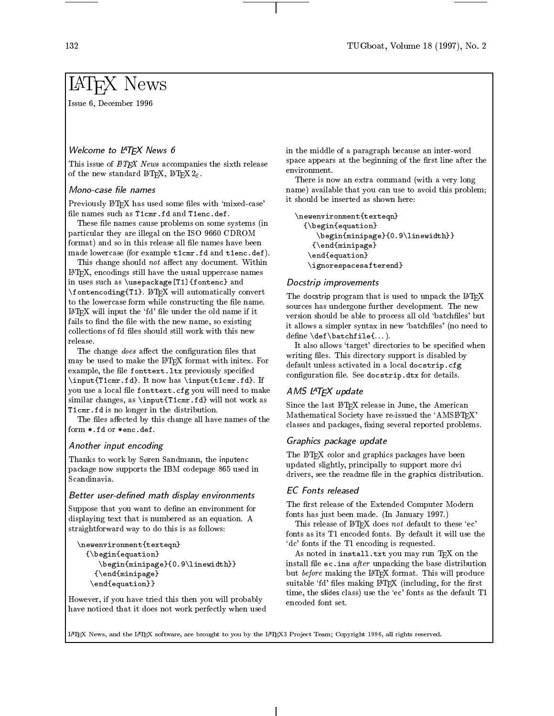Issue 6, December 1996

# Welcome to LATEX News 6

This issue of  $\cancel{B}TEX$  News accompanies the sixth release space appears of the new standard LAT<sub>E</sub>X, LAT<sub>E</sub>X  $2\varepsilon$ .

#### Mono-case file names

Previously LATEX has used some files with 'mixed-case' file names such as T1cmr.fd and T1enc.def.

These file names cause problems on some systems (in particular they are illegal on the ISO 9660 CDROM format) and so in this release all file names have been made lowercase (for example t1cmr.fd and t1enc.def).

This change should not affect any document. Within LATEX, encodings still have the usual uppercase names in uses such as \usepackage[T1]{fontenc} and \fontencoding{T1}. LATEX will automatically convert to the lowercase form while constructing the file name.  $\text{LFT}_\text{F}$ X will input the 'fd' file under the old name if it fails to find the file with the new name, so existing collections of fd files should still work with this new release.

The change  $does$  affect the configuration files that may be used to make the LATEX format with initex. For example, the file fonttext. Itx previously specified \input{T1cmr.fd}. It now has \input{t1cmr.fd}. If you use a local file fonttext.cfg you will need to make similar changes, as \input{T1cmr.fd} will not work as T1cmr.fd is no longer in the distribution.

The files affected by this change all have names of the form \*.fd or \*enc.def.

#### Another input encoding

Thanks to work by Søren Sandmann, the inputenc package now supports the IBM codepage 865 used in Scandinavia.

#### Better user-defined math display environments

Suppose that you want to define an environment for displaying text that is numbered as an equation. A straightforward way to do this is as follows:

```
\newenvironment{texteqn}{\begin{equation}\begin{minipage}{0.9\linewidth}}{\end{minipage}\end{equation}}
```
However, if you have tried this then you will probably have noticed that it does not work perfectly when used in the middle of a paragraph because an inter-word space appears at the beginning of the first line after the

There is now an extra command (with a very long name) available that you can use to avoid this problem; it should be inserted as shown here:

```
\newenvironment{texteqn}{\begin{equation}\begin{minipage}{0.9\linewidth}}{\end{minipage}\end{equation}\ignorespacesafterend}
```
#### Docstrip improvements

The docstrip program that is used to unpack the IATEX sources has undergone further development. The new version should be able to process all old 'batchfiles' but it allows a simpler syntax in new 'batchfiles' (no need to  $define \def\bullet\$ 

It also allows 'target' directories to be specified when writing files. This directory support is disabled by default unless activated in a local docstrip.cfg configuration file. See docstrip.dtx for details.

#### AMS L<sup>A</sup>TEX update

Since the last IATEX release in June, the American Mathematical Society have re-issued the 'AMSIATEX' classes and packages, fixing several reported problems.

#### Graphics package update

The LATEX color and graphics packages have been updated slightly, principally to support more dvi drivers, see the readme file in the graphics distribution.

#### **EC** Fonts released

The first release of the Extended Computer Modern fonts has just been made. (In January 1997.)

This release of IATEX does not default to these 'ec' fonts as its T1 encoded fonts. By default it will use the `dc' fonts if the T1 encoding is requested.

As noted in install.txt you may run TEX on the install file  $ec$ . ins *after* unpacking the base distribution but before making the LAT<sub>E</sub>X format. This will produce suitable 'fd' files making IATEX (including, for the first time, the slides class) use the 'ec' fonts as the default T1 encoded font set.

LATEX News, and the LATEX software, are brought to you by the LATEX3 Project Team; Copyright 1996, all rights reserved.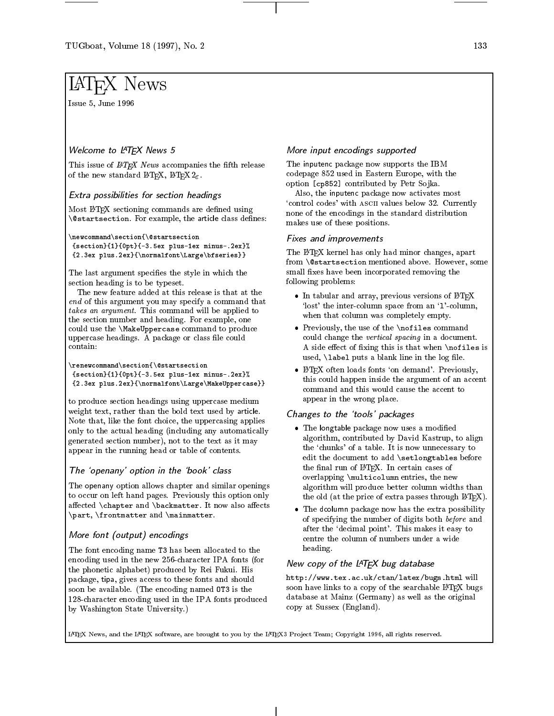Issue 5, June 1996

# Welcome to LATEX News <sup>5</sup>

This issue of  $MTEX$  News accompanies the fifth release of the new standard LATEX, LATEX  $2\varepsilon$ .

### Extra possibilities for section headings

Most IATEX sectioning commands are defined using **\@startsection**. For example, the article class defines:

#### \newcommand\section{\@startsection

{section}{1}{0pt}{-3.5ex plus-1ex minus-.2ex}%  $\frac{1}{2}$ .2.2ex plus.2ex plus.2ex plus.2ex plus.2ex plus.2ex plus.2ex plus.2ex plus.2ex plus.2ex plus.2ex plus.2ex plus.

The last argument specifies the style in which the section heading is to be typeset.

The new feature added at this release is that at the  $\sigma$  of this argument you may specify a command that the  $\sigma$ takes an argument. This command will be applied to the section number and heading. For example, one could use the \MakeUppercase command to produce uppercase headings. A package or class le could contain:

#### \renewcommand\section{\@startsection ${1}^{0}$  . The section of  ${1}^{0}$  properties of  ${1}^{0}$  properties of  ${1}^{0}$  properties of  ${1}^{0}$  properties of  ${1}^{0}$  $2.2864$  plus.2ex plus .2ex percent  $2.266$  percent  $2.266$  percent  $2.266$

to produce section headings using uppercase medium weight text, rather than the bold text used by article. Note that, like the font choice, the uppercasing applies only to the actual heading (including any automatically generated section number), not to the text as it may appear in the running head or table of contents.

# The `openany' option in the `book' class

The openany option allows chapter and similar openings to occur on left hand pages. Previously this option only affected  $\char`$ chapter and  $\backslash$ backmatter. It now also affects \part, \frontmatter and \mainmatter.

# More font (output) encodings

The font encoding name T3 has been allocated to the encoding used in the new 256-character IPA fonts (for the phonetic alphabet) produced by Rei Fukui. His package, tipa, gives access to these fonts and should soon be available. (The encoding named OT3 is the 128-character encoding used in the IPA fonts produced by Washington State University.)

# More input encodings supported

The inputenc package now supports the IBM codepage 852 used in Eastern Europe, with the option [cp852] contributed by Petr Sojka.

Also, the inputenc package now activates most `control codes' with ascii values below 32. Currently none of the encodings in the standard distribution makes use of these positions.

#### Fixes and improvements

The LATEX kernel has only had minor changes, apart from \@startsection mentioned above. However, some small fixes have been incorporated removing the following problems:

- $\bullet$  In tabular and array, previous versions of IATEX  $\hskip1cm \Box$ 'lost' the inter-column space from an '1'-column, when that column was completely empty.
- Previously, the use of the \nofiles command could change the vertical spacing in a document. A side effect of fixing this is that when  $\nabla$ iles is used,  $\lambda$  abel puts a blank line in the log file.
- LAT<sub>E</sub>X often loads fonts 'on demand'. Previously,  $\qquad$  | this could happen inside the argument of an accent command and this would cause the accent to appear in the wrong place.

# Changes to the `tools' packages

- The longtable package now uses a modied algorithm, contributed by David Kastrup, to align the 'chunks' of a table. It is now unnecessary to edit the document to add \setlongtables before the final run of LAT<sub>EX</sub>. In certain cases of overlapping \multicolumn entries, the new algorithm will produce better column widths than the old (at the price of extra passes through LATEX).
- The distribution package now has the extra possibility of the extra possibility of the extra possibility of the of specifying the number of digits both before and after the `decimal point'. This makes it easy to centre the column of numbers under a wide heading.

# New copy of the LATEX bug database

 $\ldots$ soon have links to a copy of the searchable LATEX bugs database at Mainz (Germany) as well as the original copy at Sussex (England).

LATEX News, and the LATEX software, are brought to you by the LATEX3 Project Team; Copyright 1996, all rights reserved.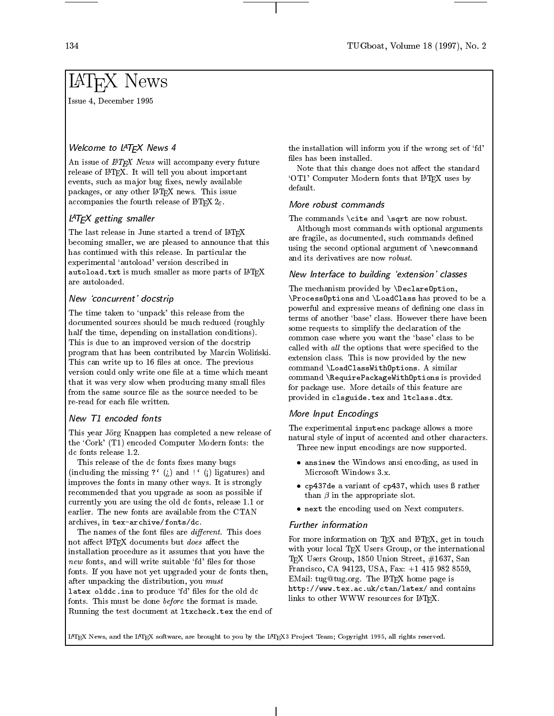Issue 4, December 1995

# Welcome to LATEX News <sup>4</sup>

An issue of  $\mu_{T}X$  News will accompany every future release of IATEX. It will tell you about important events, such as major bug fixes, newly available packages, or any other LATEX news. This issue accompanies the fourth release of  $\text{LATEX2}_{\varepsilon}$ .

# LATEX getting smaller

The last release in June started a trend of  $\mathbb{F}T\to X$ becoming smaller, we are pleased to announce that this has continued with this release. In particular the experimental 'autoload' version described in autoload.txt is much smaller as more parts of  $\LaTeX{}$  Mew Ir are autoloaded.

#### New `concurrent' docstrip

The time taken to 'unpack' this release from the documented sources should be much reduced (roughly half the time, depending on installation conditions). This is due to an improved version of the docstrip program that has been contributed by Marcin Wolinski. This can write up to 16 files at once. The previous version could only write one file at a time which meant that it was very slow when producing many small files from the same source file as the source needed to be

This year Jörg Knappen has completed a new release of the `Cork' (T1) encoded Computer Modern fonts: the dc fonts release 1.2.

This release of the dc fonts fixes many bugs (including the missing ?'  $(i)$  and !' (i) ligatures) and improves the fonts in many other ways. It is strongly recommended that you upgrade as soon as possible if currently you are using the old dc fonts, release 1.1 or earlier. The new fonts are available from the CTAN archives, in tex-archive/fonts/dc.

The names of the font files are *different*. This does not affect LATEX documents but does affect the installation procedure as it assumes that you have the new fonts, and will write suitable 'fd' files for those fonts. If you have not yet upgraded your dc fonts then, after unpacking the distribution, you must latex olddc.ins to produce 'fd' files for the old dc fonts. This must be done before the format is made. Running the test document at ltxcheck.tex the end of

the installation will inform you if the wrong set of 'fd' files has been installed.

Note that this change does not affect the standard `OT1' Computer Modern fonts that LATEX uses by default.

#### More robust commands

The commands \cite and \sqrt are now robust.

Although most commands with optional arguments are fragile, as documented, such commands defined using the second optional argument of \newcommand and its derivatives are now robust.

#### New Interface to building `extension' classes

The mechanism provided by \DeclareOption,  $\mathcal{P}$  , and and  $\mathcal{P}$  are and and proved to be a proved to be a set of a set of  $\mathcal{P}$ powerful and expressive means of defining one class in terms of another 'base' class. However there have been some requests to simplify the declaration of the common case where you want the `base' class to be called with all the options that were specified to the extension class. This is now provided by the new command \LoadClassWithOptions. A similar command \RequirePackageWithOptions is provided for package use. More details of this feature are provided in clsguide.tex and ltclass.dtx.

# More Input Encodings

The experimental inputenc package allows a more natural style of input of accented and other characters. Three new input encodings are now supported.

- ansing the Windows and Windows and Windows and Indiana in the Windows and Indiana in the Windows and Indiana i Microsoft Windows 3.x.
- cp437de a variant of cp437, which uses rather than  $\beta$  in the appropriate slot.
- next the encoding used on Article computers.

#### Further

For more information on  $T_F X$  and  $I \r F_F X$ , get in touch with your local T<sub>E</sub>X Users Group, or the international TEX Users Group, 1850 Union Street, #1637, San Francisco, CA 94123, USA, Fax: +1 415 982 8559, EMail: tug@tug.org. The LATEX home page is http://www.tex.ac.uk/ctan/latex/ and contains links to other WWW resources for LATEX.

LATEX News, and the LATEX software, are brought to you by the LATEX3 Project Team; Copyright 1995, all rights reserved.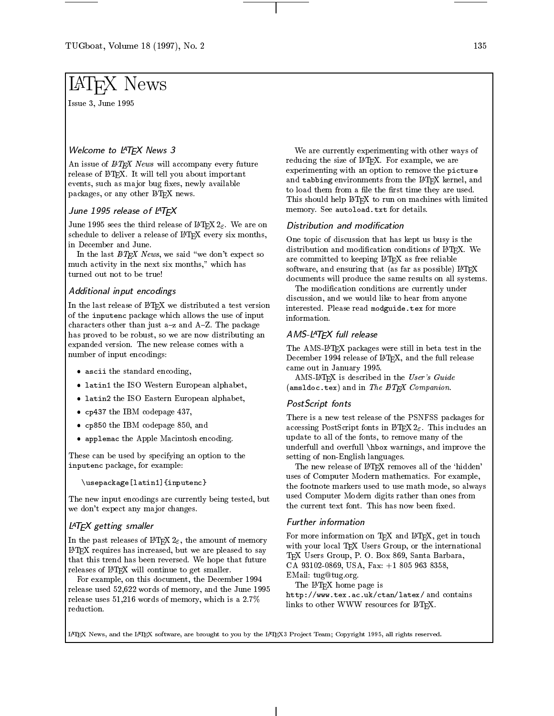Issue 3, June 1995

# Welcome to LATEX News 3

An issue of  $\cancel{B}T_F X$  News will accompany every future release of IAT<sub>E</sub>X. It will tell you about important events, such as major bug fixes, newly available packages, or any other LATEX news.

### June 1995 release of LATEX

June 1995 sees the third release of  $\mathbb{B} T_{\!E} X2_\varepsilon$ . We are on schedule to deliver a release of IATEX every six months, in December and June.

In the last  $\mathbb{B}T_{E}X$  News, we said "we don't expect so much activity in the next six months," which has turned out not to be true!

### Additional input encodings

In the last release of IATEX we distributed a test version of the inputenc package which allows the use of input characters other than just  $a-z$  and  $A-Z$ . The package has proved to be robust, so we are now distributing an expanded version. The new release comes with a number of input encodings:

- ascie the standard encoding,
- latin 1 the ISO Western European alphabet, in ISO Western European alphabet, in ISO Western European alphabet,
- latin2 the ISO Eastern European alphabet,
- cp437 the IBM codepage 437,
- cps of the IBM codepage 850, and 20
- applemac the Apple Macintosh encoding.

These can be used by specifying an option to the  $\sum_{i=1}^{n}$  in put  $\sum_{i=1}^{n}$  package, for example:

#### \usepackage[latin1]{inputenc}

The new input encodings are currently being tested, but we don't expect any major changes.

# LAT<sub>E</sub>X getting smaller

In the past releases of  $\text{LATEX2}_{\varepsilon}$ , the amount of memory LATEX requires has increased, but we are pleased to say that this trend has been reversed. We hope that future releases of LAT<sub>E</sub>X will continue to get smaller.

For example, on this document, the December 1994 release used 52,622 words of memory, and the June 1995 release uses 51,216 words of memory, which is a 2.7% reduction.

We are currently experimenting with other ways of reducing the size of LAT<sub>E</sub>X. For example, we are experimenting with an option to remove the picture and tabbing environments from the LAT<sub>EX</sub> kernel, and to load them from a file the first time they are used. This should help LAT<sub>EX</sub> to run on machines with limited memory. See autoload.txt for details.

#### Distribution and modication

One topic of discussion that has kept us busy is the distribution and modification conditions of IATEX. We are committed to keeping LATEX as free reliable software, and ensuring that (as far as possible) LATEX documents will produce the same results on all systems.

The modication conditions are currently under discussion, and we would like to hear from anyone interested. Please read modguide.tex for more information.

### AMS-L<sup>AT</sup>FX full release

The AMS-LATEX packages were still in beta test in the December 1994 release of LATEX, and the full release came out in January 1995.

AMS-LATEX is described in the User's Guide (amsldoc.tex) and in The  $HTEX$  Companion.

#### PostScript fonts

There is a new test release of the PSNFSS packages for accessing PostScript fonts in LATEX  $2\varepsilon$ . This includes an update to all of the fonts, to remove many of the underfull and overfull \hbox warnings, and improve the setting of non-English languages.

The new release of IATEX removes all of the 'hidden' uses of Computer Modern mathematics. For example, the footnote markers used to use math mode, so always used Computer Modern digits rather than ones from the current text font. This has now been fixed.

#### Further information

For more information on TEX and IATEX, get in touch with your local TEX Users Group, or the international TEX Users Group, P. O. Box 869, Santa Barbara, CA 93102-0869, USA, Fax: +1 805 963 8358, EMail: tug@tug.org.

The LATEX home page is

 $\mathbf{h}$  . and  $\mathbf{h}$  are  $\mathbf{h}$  and  $\mathbf{h}$  and  $\mathbf{h}$  and  $\mathbf{h}$  and  $\mathbf{h}$  and  $\mathbf{h}$  and  $\mathbf{h}$  and  $\mathbf{h}$  and  $\mathbf{h}$  and  $\mathbf{h}$  and  $\mathbf{h}$  and  $\mathbf{h}$  and  $\mathbf{h}$  and  $\mathbf{h}$  and  $\mathbf{h}$  an links to other WWW resources for LATEX.

LATEX News, and the LATEX software, are brought to you by the LATEX3 Project Team; Copyright 1995, all rights reserved.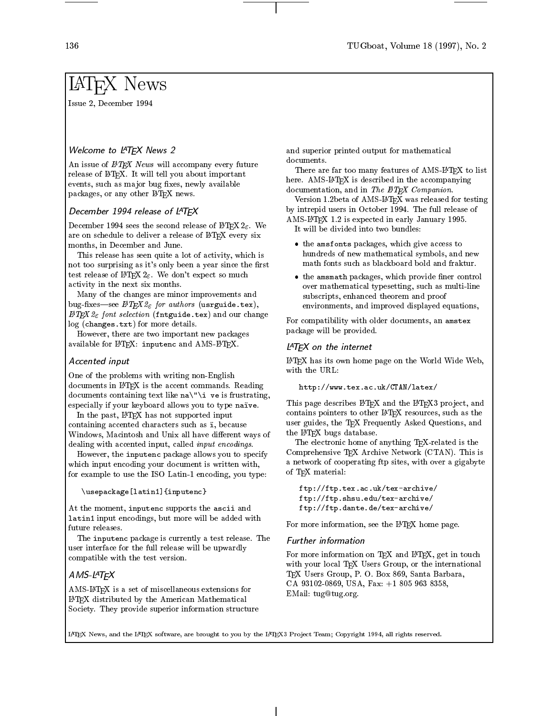Issue 2, December 1994

# Welcome to LATEX News 2

An issue of  $\cancel{B}T_F X$  News will accompany every future release of IATEX. It will tell you about important events, such as major bug fixes, newly available packages, or any other IATEX news.

# December 1994 release of LATEX

December 1994 sees the second release of  $\text{BTr} X2_{\epsilon}$ . We are on schedule to deliver a release of LATEX every six months, in December and June.

This release has seen quite a lot of activity, which is not too surprising as it's only been a year since the first test release of  $\mathbb{H}\mathbb{F}_{E}X2_{\varepsilon}$ . We don't expect so much activity in the next six months.

Many of the changes are minor improvements and bug-fixes—see  $\cancel{B}TEX \, \mathcal{Z}_{\varepsilon}$  for authors (usrguide.tex),  $\cancel{B}TEX \, \mathcal{Z}_{\epsilon}$  font selection (fintguide.tex) and our change log (changes.txt) for more details.

However, there are two important new packages available for  $\mathbb{B}T_FX$ : inputenc and AMS- $\mathbb{B}T_FX$ .

#### Accented input

One of the problems with writing non-English documents in LATEX is the accent commands. Reading documents containing text like  $na'$  '\i ve is frustrating, especially if your keyboard allows you to type naïve.

In the past, LAT<sub>EX</sub> has not supported input containing accented characters such as i, because Windows, Macintosh and Unix all have different ways of dealing with accented input, called input encodings.

However, the inputenc package allows you to specify which input encoding your document is written with, for example to use the ISO Latin-1 encoding, you type:

#### \usepackage[latin1]{inputenc}

At the moment, inputenc supports the ascii and latin1 input encodings, but more will be added with future releases.

The inputenc package is currently a test release. The user interface for the full release will be upwardly compatible with the test version.

# AMS-L<sup>A</sup>TEX

AMS-LATEX is a set of miscellaneous extensions for LATEX distributed by the American Mathematical Society. They provide superior information structure and superior printed output for mathematical documents.

There are far too many features of AMS-LATEX to list here. AMS-LATEX is described in the accompanying documentation, and in The IATEX Companion.

Version 1.2beta of AMS-LATEX was released for testing by intrepid users in October 1994. The full release of AMS-LATEX 1.2 is expected in early January 1995. It will be divided into two bundles:

- the amsfonts packages, which give access to hundreds of new mathematical symbols, and new math fonts such as blackboard bold and fraktur.
- the amsmath packages, which provide ner control over mathematical typesetting, such as multi-line subscripts, enhanced theorem and proof environments, and improved displayed equations,

For compatibility with older documents, an amstex package will be provided.

#### L<sup>AT</sup>EX on the internet

LATEX has its own home page on the World Wide Web, with the URL:

```
http://www.tex.ac.uk/CTAN/latex/
```
This page describes LATEX and the LATEX3 project, and contains pointers to other LATEX resources, such as the user guides, the TEX Frequently Asked Questions, and the IATEX bugs database.

The electronic home of anything TEX-related is the Comprehensive TEX Archive Network (CTAN). This is a network of cooperating ftp sites, with over a gigabyte of TEX material:

ftp://ftp.tex.ac.uk/tex-archive/ ftp://ftp.shsu.edu/tex-archive/ ftp://ftp.dante.de/tex-archive/

For more information, see the LATEX home page.

#### Further information

For more information on  $T<sub>E</sub>X$  and  $LAT<sub>E</sub>X$ , get in touch with your local TEX Users Group, or the international TEX Users Group, P. O. Box 869, Santa Barbara, CA 93102-0869, USA, Fax: +1 805 963 8358, EMail: tug@tug.org.

LATEX News, and the LATEX software, are brought to you by the LATEX3 Project Team; Copyright 1994, all rights reserved.